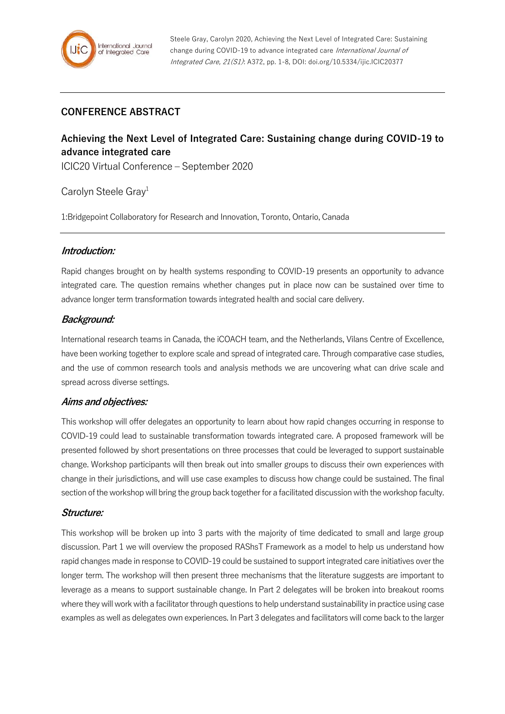# **CONFERENCE ABSTRACT**

# **Achieving the Next Level of Integrated Care: Sustaining change during COVID-19 to advance integrated care**

ICIC20 Virtual Conference – September 2020

# Carolyn Steele Gray<sup>1</sup>

1:Bridgepoint Collaboratory for Research and Innovation, Toronto, Ontario, Canada

### **Introduction:**

Rapid changes brought on by health systems responding to COVID-19 presents an opportunity to advance integrated care. The question remains whether changes put in place now can be sustained over time to advance longer term transformation towards integrated health and social care delivery.

### **Background:**

International research teams in Canada, the iCOACH team, and the Netherlands, Vilans Centre of Excellence, have been working together to explore scale and spread of integrated care. Through comparative case studies, and the use of common research tools and analysis methods we are uncovering what can drive scale and spread across diverse settings.

#### **Aims and objectives:**

This workshop will offer delegates an opportunity to learn about how rapid changes occurring in response to COVID-19 could lead to sustainable transformation towards integrated care. A proposed framework will be presented followed by short presentations on three processes that could be leveraged to support sustainable change. Workshop participants will then break out into smaller groups to discuss their own experiences with change in their jurisdictions, and will use case examples to discuss how change could be sustained. The final section of the workshop will bring the group back together for a facilitated discussion with the workshop faculty.

#### **Structure:**

This workshop will be broken up into 3 parts with the majority of time dedicated to small and large group discussion. Part 1 we will overview the proposed RAShsT Framework as a model to help us understand how rapid changes made in response to COVID-19 could be sustained to support integrated care initiatives over the longer term. The workshop will then present three mechanisms that the literature suggests are important to leverage as a means to support sustainable change. In Part 2 delegates will be broken into breakout rooms where they will work with a facilitator through questions to help understand sustainability in practice using case examples as well as delegates own experiences. In Part 3 delegates and facilitators will come back to the larger